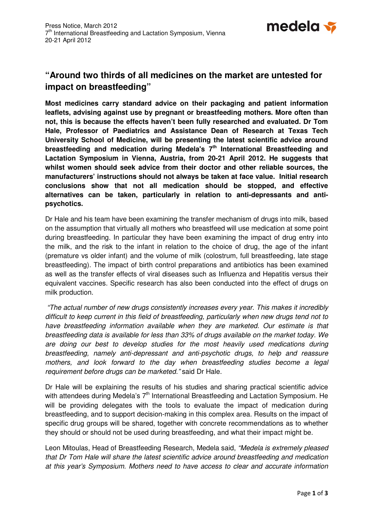

# **"Around two thirds of all medicines on the market are untested for impact on breastfeeding"**

**Most medicines carry standard advice on their packaging and patient information leaflets, advising against use by pregnant or breastfeeding mothers. More often than not, this is because the effects haven't been fully researched and evaluated. Dr Tom Hale, Professor of Paediatrics and Assistance Dean of Research at Texas Tech University School of Medicine, will be presenting the latest scientific advice around breastfeeding and medication during Medela's 7th International Breastfeeding and Lactation Symposium in Vienna, Austria, from 20-21 April 2012. He suggests that whilst women should seek advice from their doctor and other reliable sources, the manufacturers' instructions should not always be taken at face value. Initial research conclusions show that not all medication should be stopped, and effective alternatives can be taken, particularly in relation to anti-depressants and antipsychotics.** 

Dr Hale and his team have been examining the transfer mechanism of drugs into milk, based on the assumption that virtually all mothers who breastfeed will use medication at some point during breastfeeding. In particular they have been examining the impact of drug entry into the milk, and the risk to the infant in relation to the choice of drug, the age of the infant (premature vs older infant) and the volume of milk (colostrum, full breastfeeding, late stage breastfeeding). The impact of birth control preparations and antibiotics has been examined as well as the transfer effects of viral diseases such as Influenza and Hepatitis versus their equivalent vaccines. Specific research has also been conducted into the effect of drugs on milk production.

 "The actual number of new drugs consistently increases every year. This makes it incredibly difficult to keep current in this field of breastfeeding, particularly when new drugs tend not to have breastfeeding information available when they are marketed. Our estimate is that breastfeeding data is available for less than 33% of drugs available on the market today. We are doing our best to develop studies for the most heavily used medications during breastfeeding, namely anti-depressant and anti-psychotic drugs, to help and reassure mothers, and look forward to the day when breastfeeding studies become a legal requirement before drugs can be marketed." said Dr Hale.

Dr Hale will be explaining the results of his studies and sharing practical scientific advice with attendees during Medela's  $7<sup>th</sup>$  International Breastfeeding and Lactation Symposium. He will be providing delegates with the tools to evaluate the impact of medication during breastfeeding, and to support decision-making in this complex area. Results on the impact of specific drug groups will be shared, together with concrete recommendations as to whether they should or should not be used during breastfeeding, and what their impact might be.

Leon Mitoulas, Head of Breastfeeding Research, Medela said, "Medela is extremely pleased that Dr Tom Hale will share the latest scientific advice around breastfeeding and medication at this year's Symposium. Mothers need to have access to clear and accurate information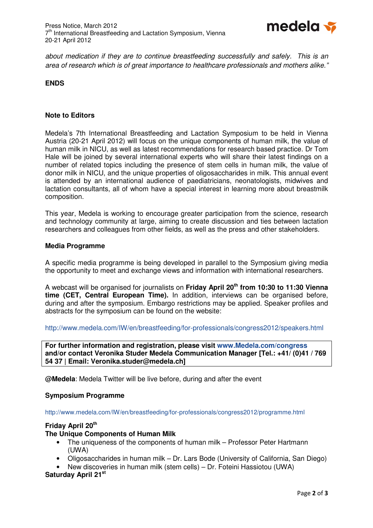

about medication if they are to continue breastfeeding successfully and safely. This is an area of research which is of great importance to healthcare professionals and mothers alike."

# **ENDS**

## **Note to Editors**

Medela's 7th International Breastfeeding and Lactation Symposium to be held in Vienna Austria (20-21 April 2012) will focus on the unique components of human milk, the value of human milk in NICU, as well as latest recommendations for research based practice. Dr Tom Hale will be joined by several international experts who will share their latest findings on a number of related topics including the presence of stem cells in human milk, the value of donor milk in NICU, and the unique properties of oligosaccharides in milk. This annual event is attended by an international audience of paediatricians, neonatologists, midwives and lactation consultants, all of whom have a special interest in learning more about breastmilk composition.

This year, Medela is working to encourage greater participation from the science, research and technology community at large, aiming to create discussion and ties between lactation researchers and colleagues from other fields, as well as the press and other stakeholders.

#### **Media Programme**

A specific media programme is being developed in parallel to the Symposium giving media the opportunity to meet and exchange views and information with international researchers.

A webcast will be organised for journalists on **Friday April 20th from 10:30 to 11:30 Vienna time (CET, Central European Time).** In addition, interviews can be organised before, during and after the symposium. Embargo restrictions may be applied. Speaker profiles and abstracts for the symposium can be found on the website:

http://www.medela.com/IW/en/breastfeeding/for-professionals/congress2012/speakers.html

**For further information and registration, please visit www.Medela.com/congress and/or contact Veronika Studer Medela Communication Manager [Tel.: +41/ (0)41 / 769 54 37 | Email: Veronika.studer@medela.ch]** 

**@Medela**: Medela Twitter will be live before, during and after the event

#### **Symposium Programme**

#### http://www.medela.com/IW/en/breastfeeding/for-professionals/congress2012/programme.html

# **Friday April 20th**

#### **The Unique Components of Human Milk**

- The uniqueness of the components of human milk Professor Peter Hartmann (UWA)
- Oligosaccharides in human milk Dr. Lars Bode (University of California, San Diego)
- New discoveries in human milk (stem cells) Dr. Foteini Hassiotou (UWA)

# **Saturday April 21st**